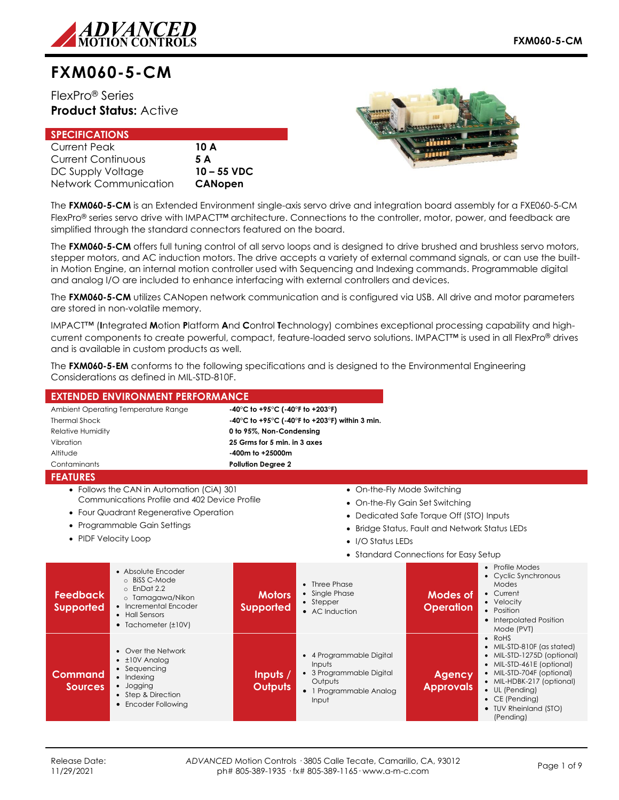

# **FXM060-5-CM**

FlexPro® Series **Product Status:** Active

| <b>SPECIFICATIONS</b> |                |
|-----------------------|----------------|
| Current Peak          | 10 A           |
| Current Continuous    | 5 A            |
| DC Supply Voltage     | $10 - 55$ VDC  |
| Network Communication | <b>CANopen</b> |



The **FXM060-5-CM** is an Extended Environment single-axis servo drive and integration board assembly for a FXE060-5-CM FlexPro® series servo drive with IMPACT™ architecture. Connections to the controller, motor, power, and feedback are simplified through the standard connectors featured on the board.

The **FXM060-5-CM** offers full tuning control of all servo loops and is designed to drive brushed and brushless servo motors, stepper motors, and AC induction motors. The drive accepts a variety of external command signals, or can use the builtin Motion Engine, an internal motion controller used with Sequencing and Indexing commands. Programmable digital and analog I/O are included to enhance interfacing with external controllers and devices.

The **FXM060-5-CM** utilizes CANopen network communication and is configured via USB. All drive and motor parameters are stored in non-volatile memory.

IMPACT™ (**I**ntegrated **M**otion **P**latform **A**nd **C**ontrol **T**echnology) combines exceptional processing capability and highcurrent components to create powerful, compact, feature-loaded servo solutions. IMPACT™ is used in all FlexPro® drives and is available in custom products as well.

The **FXM060-5-EM** conforms to the following specifications and is designed to the Environmental Engineering Considerations as defined in MIL-STD-810F.

| <b>EXTENDED ENVIRONMENT PERFORMANCE</b>                                 |                                                                                                                                                                      |                                   |                                                                                                                          |                                                                                                                                                                      |                                                                                                                                                                                                                                                             |
|-------------------------------------------------------------------------|----------------------------------------------------------------------------------------------------------------------------------------------------------------------|-----------------------------------|--------------------------------------------------------------------------------------------------------------------------|----------------------------------------------------------------------------------------------------------------------------------------------------------------------|-------------------------------------------------------------------------------------------------------------------------------------------------------------------------------------------------------------------------------------------------------------|
| Ambient Operating Temperature Range<br>-40°C to +95°C (-40°F to +203°F) |                                                                                                                                                                      |                                   |                                                                                                                          |                                                                                                                                                                      |                                                                                                                                                                                                                                                             |
| <b>Thermal Shock</b>                                                    | -40°C to +95°C (-40°F to +203°F) within 3 min.                                                                                                                       |                                   |                                                                                                                          |                                                                                                                                                                      |                                                                                                                                                                                                                                                             |
| <b>Relative Humidity</b>                                                |                                                                                                                                                                      | 0 to 95%, Non-Condensing          |                                                                                                                          |                                                                                                                                                                      |                                                                                                                                                                                                                                                             |
| Vibration                                                               |                                                                                                                                                                      | 25 Grms for 5 min. in 3 axes      |                                                                                                                          |                                                                                                                                                                      |                                                                                                                                                                                                                                                             |
| Altitude                                                                |                                                                                                                                                                      | -400m to +25000m                  |                                                                                                                          |                                                                                                                                                                      |                                                                                                                                                                                                                                                             |
| Contaminants                                                            |                                                                                                                                                                      | <b>Pollution Degree 2</b>         |                                                                                                                          |                                                                                                                                                                      |                                                                                                                                                                                                                                                             |
| <b>FEATURES</b>                                                         |                                                                                                                                                                      |                                   |                                                                                                                          |                                                                                                                                                                      |                                                                                                                                                                                                                                                             |
| • PIDF Velocity Loop                                                    | • Follows the CAN in Automation (CiA) 301<br>Communications Profile and 402 Device Profile<br>• Four Quadrant Regenerative Operation<br>• Programmable Gain Settings |                                   | • On-the-Fly Mode Switching<br>٠<br>• I/O Status LEDs                                                                    | • On-the-Fly Gain Set Switching<br>• Dedicated Safe Torque Off (STO) Inputs<br>Bridge Status, Fault and Network Status LEDs<br>• Standard Connections for Easy Setup |                                                                                                                                                                                                                                                             |
| <b>Feedback</b><br><b>Supported</b>                                     | • Absolute Encoder<br>o BiSS C-Mode<br>$\circ$ EnDat 2.2<br>o Tamagawa/Nikon<br>• Incremental Encoder<br>• Hall Sensors<br>$\bullet$ Tachometer ( $\pm$ 10V)         | <b>Motors</b><br><b>Supported</b> | • Three Phase<br>• Single Phase<br>• Stepper<br>• AC Induction                                                           | Modes of<br><b>Operation</b>                                                                                                                                         | • Profile Modes<br>• Cyclic Synchronous<br>Modes<br>• Current<br>• Velocity<br>• Position<br>• Interpolated Position<br>Mode (PVT)                                                                                                                          |
| Command<br><b>Sources</b>                                               | • Over the Network<br>$\cdot$ ±10V Analog<br>• Sequencing<br>• Indexing<br>· Jogging<br>• Step & Direction<br>• Encoder Following                                    | Inputs /<br><b>Outputs</b>        | 4 Programmable Digital<br>$\bullet$<br>Inputs<br>• 3 Programmable Digital<br>Outputs<br>• 1 Programmable Analog<br>Input | <b>Agency</b><br><b>Approvals</b>                                                                                                                                    | $\bullet$ RoHS<br>• MIL-STD-810F (as stated)<br>• MIL-STD-1275D (optional)<br>• MIL-STD-461E (optional)<br>• MIL-STD-704F (optional)<br>• MIL-HDBK-217 (optional)<br>$\bullet$ UL (Pending)<br>$\bullet$ CE (Pending)<br>• TUV Rheinland (STO)<br>(Pending) |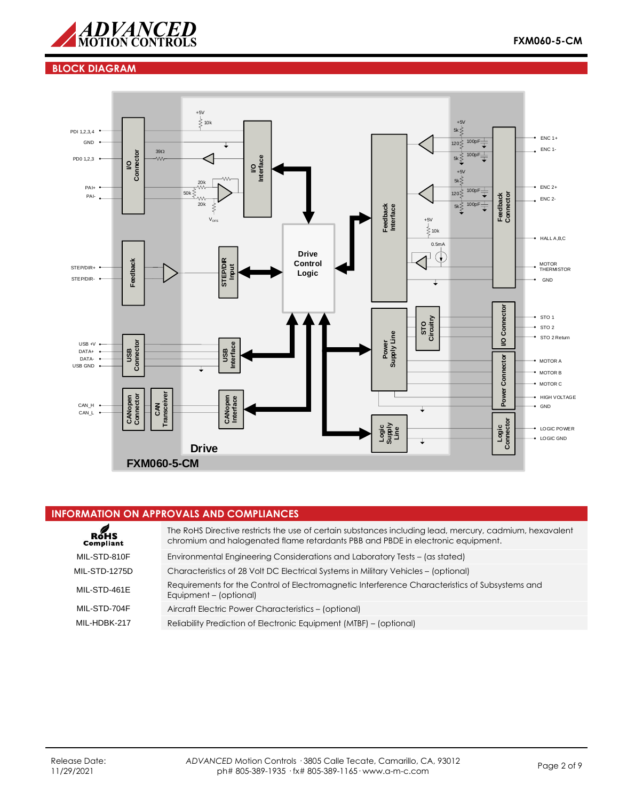

## **BLOCK DIAGRAM**



## **INFORMATION ON APPROVALS AND COMPLIANCES**

| RoHS<br>Compliant    | The RoHS Directive restricts the use of certain substances including lead, mercury, cadmium, hexavalent<br>chromium and halogenated flame retardants PBB and PBDE in electronic equipment. |
|----------------------|--------------------------------------------------------------------------------------------------------------------------------------------------------------------------------------------|
| MIL-STD-810F         | Environmental Engineering Considerations and Laboratory Tests - (as stated)                                                                                                                |
| <b>MIL-STD-1275D</b> | Characteristics of 28 Volt DC Electrical Systems in Military Vehicles – (optional)                                                                                                         |
| MIL-STD-461E         | Requirements for the Control of Electromagnetic Interference Characteristics of Subsystems and<br>Equipment - (optional)                                                                   |
| MIL-STD-704F         | Aircraft Electric Power Characteristics - (optional)                                                                                                                                       |
| MII-HDBK-217         | Reliability Prediction of Electronic Equipment (MTBF) – (optional)                                                                                                                         |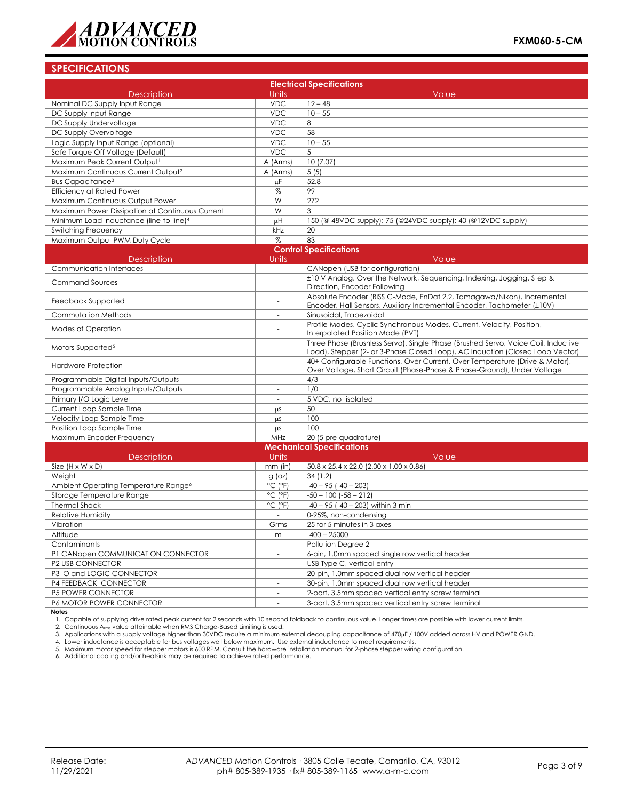

## **SPECIFICATIONS**

| <b>Electrical Specifications</b>                    |                              |                                                                                                                                                                    |  |  |  |
|-----------------------------------------------------|------------------------------|--------------------------------------------------------------------------------------------------------------------------------------------------------------------|--|--|--|
| <b>Description</b>                                  | <b>Units</b>                 | Value                                                                                                                                                              |  |  |  |
| Nominal DC Supply Input Range                       | <b>VDC</b>                   | $12 - 48$                                                                                                                                                          |  |  |  |
| DC Supply Input Range                               | <b>VDC</b>                   | $10 - 55$                                                                                                                                                          |  |  |  |
| DC Supply Undervoltage                              | <b>VDC</b>                   | 8                                                                                                                                                                  |  |  |  |
| DC Supply Overvoltage                               | <b>VDC</b>                   | 58                                                                                                                                                                 |  |  |  |
| Logic Supply Input Range (optional)                 | <b>VDC</b>                   | $10 - 55$                                                                                                                                                          |  |  |  |
| Safe Torque Off Voltage (Default)                   | <b>VDC</b>                   | 5                                                                                                                                                                  |  |  |  |
| Maximum Peak Current Output1                        | A (Arms)                     | 10(7.07)                                                                                                                                                           |  |  |  |
| Maximum Continuous Current Output <sup>2</sup>      | A (Arms)                     | 5(5)                                                                                                                                                               |  |  |  |
| <b>Bus Capacitance<sup>3</sup></b>                  | μF                           | 52.8                                                                                                                                                               |  |  |  |
| <b>Efficiency at Rated Power</b>                    | %                            | 99                                                                                                                                                                 |  |  |  |
| Maximum Continuous Output Power                     | W                            | 272                                                                                                                                                                |  |  |  |
| Maximum Power Dissipation at Continuous Current     | W                            | 3                                                                                                                                                                  |  |  |  |
| Minimum Load Inductance (line-to-line) <sup>4</sup> | μH                           | 150 (@ 48VDC supply); 75 (@24VDC supply); 40 (@12VDC supply)                                                                                                       |  |  |  |
| Switching Frequency                                 | kHz                          | 20                                                                                                                                                                 |  |  |  |
| Maximum Output PWM Duty Cycle                       | %                            | 83                                                                                                                                                                 |  |  |  |
|                                                     |                              | <b>Control Specifications</b>                                                                                                                                      |  |  |  |
| <b>Description</b>                                  | <b>Units</b>                 | Value                                                                                                                                                              |  |  |  |
| Communication Interfaces                            | $\sim$                       | CANopen (USB for configuration)                                                                                                                                    |  |  |  |
| <b>Command Sources</b>                              | $\overline{\phantom{a}}$     | ±10 V Analog, Over the Network, Sequencing, Indexing, Jogging, Step &<br>Direction, Encoder Following                                                              |  |  |  |
| Feedback Supported                                  |                              | Absolute Encoder (BiSS C-Mode, EnDat 2.2, Tamagawa/Nikon), Incremental<br>Encoder, Hall Sensors, Auxiliary Incremental Encoder, Tachometer (±10V)                  |  |  |  |
| Commutation Methods                                 |                              | Sinusoidal, Trapezoidal                                                                                                                                            |  |  |  |
| Modes of Operation                                  |                              | Profile Modes, Cyclic Synchronous Modes, Current, Velocity, Position,<br>Interpolated Position Mode (PVT)                                                          |  |  |  |
| Motors Supported <sup>5</sup>                       |                              | Three Phase (Brushless Servo), Single Phase (Brushed Servo, Voice Coil, Inductive<br>Load), Stepper (2- or 3-Phase Closed Loop), AC Induction (Closed Loop Vector) |  |  |  |
| <b>Hardware Protection</b>                          |                              | 40+ Configurable Functions, Over Current, Over Temperature (Drive & Motor),<br>Over Voltage, Short Circuit (Phase-Phase & Phase-Ground), Under Voltage             |  |  |  |
| Programmable Digital Inputs/Outputs                 | $\overline{\phantom{a}}$     | 4/3                                                                                                                                                                |  |  |  |
| Programmable Analog Inputs/Outputs                  | $\overline{\phantom{a}}$     | 1/0                                                                                                                                                                |  |  |  |
| Primary I/O Logic Level                             | $\overline{\phantom{a}}$     | 5 VDC, not isolated                                                                                                                                                |  |  |  |
| Current Loop Sample Time                            | μS                           | 50                                                                                                                                                                 |  |  |  |
| Velocity Loop Sample Time                           | μS                           | 100                                                                                                                                                                |  |  |  |
| Position Loop Sample Time                           | μS                           | 100                                                                                                                                                                |  |  |  |
| Maximum Encoder Frequency                           | MHz                          | 20 (5 pre-quadrature)                                                                                                                                              |  |  |  |
|                                                     |                              | <b>Mechanical Specifications</b>                                                                                                                                   |  |  |  |
| Description                                         | Units                        | Value                                                                                                                                                              |  |  |  |
| Size $(H \times W \times D)$                        | $mm$ (in)                    | 50.8 x 25.4 x 22.0 (2.00 x 1.00 x 0.86)                                                                                                                            |  |  |  |
| Weight                                              | $g$ (oz)                     | 34(1.2)                                                                                                                                                            |  |  |  |
| Ambient Operating Temperature Range <sup>6</sup>    | °C (°F)                      | $-40 - 95$ $(-40 - 203)$                                                                                                                                           |  |  |  |
| Storage Temperature Range                           | $^{\circ}$ C ( $^{\circ}$ F) | $-50 - 100$ ( $-58 - 212$ )                                                                                                                                        |  |  |  |
| <b>Thermal Shock</b>                                | °C (°F)                      | $-40 - 95$ ( $-40 - 203$ ) within 3 min                                                                                                                            |  |  |  |
| <b>Relative Humidity</b>                            |                              | 0-95%, non-condensing                                                                                                                                              |  |  |  |
| Vibration                                           | Grms                         | 25 for 5 minutes in 3 axes                                                                                                                                         |  |  |  |
| Altitude                                            | m                            | $-400 - 25000$                                                                                                                                                     |  |  |  |
| Contaminants                                        | $\overline{\phantom{a}}$     | Pollution Degree 2                                                                                                                                                 |  |  |  |
| P1 CANopen COMMUNICATION CONNECTOR                  | $\overline{\phantom{a}}$     | 6-pin, 1.0mm spaced single row vertical header                                                                                                                     |  |  |  |
| P2 USB CONNECTOR                                    | $\sim$                       | USB Type C, vertical entry                                                                                                                                         |  |  |  |
| P3 IO and LOGIC CONNECTOR                           | $\sim$                       | 20-pin, 1.0mm spaced dual row vertical header                                                                                                                      |  |  |  |
| P4 FEEDBACK CONNECTOR                               | $\overline{\phantom{a}}$     | 30-pin, 1.0mm spaced dual row vertical header                                                                                                                      |  |  |  |
| P5 POWER CONNECTOR                                  | $\sim$                       | 2-port, 3.5mm spaced vertical entry screw terminal                                                                                                                 |  |  |  |
| P6 MOTOR POWER CONNECTOR                            |                              | 3-port, 3.5mm spaced vertical entry screw terminal                                                                                                                 |  |  |  |

**Notes**<br>1. Capable of supplying drive rated peak current for 2 seconds with 10 second foldback to continuous value. Longer times are possible with lower current limits.<br>2. Continuous A<sub>rms</sub> value attainable when RMS Charge

3. Applications with a supply voltage higher than 30VDC require a minimum external decoupling capacitance of 470µF / 100V added across HV and POWER GND.

4. Lower inductance is acceptable for bus voltages well below maximum. Use external inductance to meet requirements.<br>5. Maximum motor speed for stepper motors is 600 RPM. Consult the hardware installation manual for 2-phas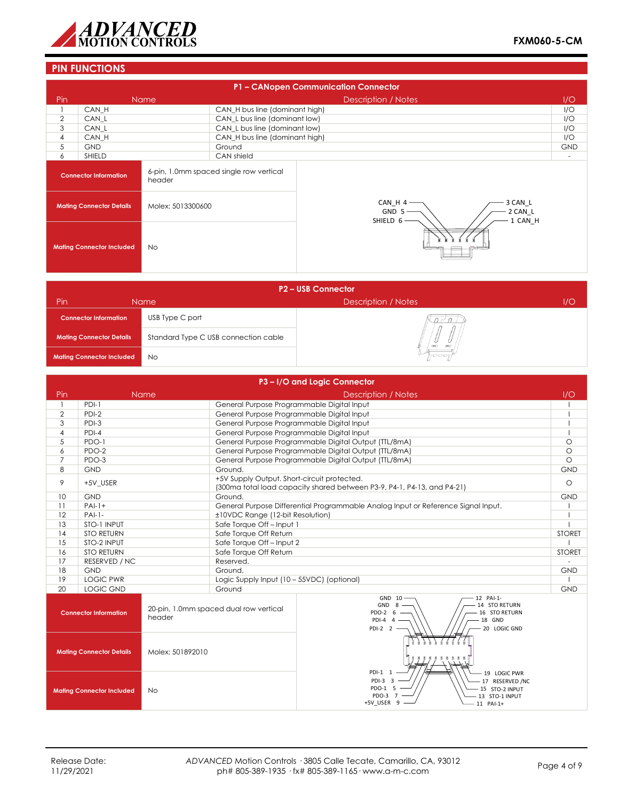

## **PIN FUNCTIONS**

| P1 - CANopen Communication Connector                 |                                  |             |                                                                   |                            |                          |  |  |
|------------------------------------------------------|----------------------------------|-------------|-------------------------------------------------------------------|----------------------------|--------------------------|--|--|
| Pin                                                  |                                  | <b>Name</b> |                                                                   | <b>Description / Notes</b> | 1/O                      |  |  |
|                                                      | CAN H                            |             | CAN_H bus line (dominant high)                                    |                            | I/O                      |  |  |
| 2                                                    | CAN L                            |             | CAN_L bus line (dominant low)                                     |                            | I/O                      |  |  |
| 3                                                    | CAN L                            |             | CAN_L bus line (dominant low)                                     |                            | I/O                      |  |  |
| 4                                                    | CAN H                            |             | CAN_H bus line (dominant high)                                    |                            | I/O                      |  |  |
| 5                                                    | <b>GND</b>                       |             | Ground                                                            |                            | <b>GND</b>               |  |  |
| 6                                                    | <b>SHIELD</b>                    |             | CAN shield                                                        |                            | $\overline{\phantom{a}}$ |  |  |
|                                                      | <b>Connector Information</b>     | header      | 6-pin, 1.0mm spaced single row vertical                           |                            |                          |  |  |
| Molex: 5013300600<br><b>Mating Connector Details</b> |                                  |             | 3 CAN L<br>CAN_H 4<br>$GND$ 5 -<br>2 CAN L<br>1 CAN H<br>SHIELD 6 |                            |                          |  |  |
|                                                      | <b>Mating Connector Included</b> | No.         |                                                                   |                            |                          |  |  |

| <b>P2-USB Connector</b>          |                                      |                            |     |  |  |  |  |
|----------------------------------|--------------------------------------|----------------------------|-----|--|--|--|--|
| Pin                              | Name                                 | <b>Description / Notes</b> | 1/O |  |  |  |  |
| <b>Connector Information</b>     | USB Type C port                      |                            |     |  |  |  |  |
| <b>Mating Connector Details</b>  | Standard Type C USB connection cable |                            |     |  |  |  |  |
| <b>Mating Connector Included</b> | <b>No</b>                            | hann                       |     |  |  |  |  |

| P3-I/O and Logic Connector |                                  |                  |                                             |                                                                                                                                            |               |
|----------------------------|----------------------------------|------------------|---------------------------------------------|--------------------------------------------------------------------------------------------------------------------------------------------|---------------|
| Pin                        |                                  | <b>Name</b>      |                                             | <b>Description / Notes</b>                                                                                                                 | 1/O           |
|                            | $PDI-1$                          |                  | General Purpose Programmable Digital Input  |                                                                                                                                            |               |
| $\overline{2}$             | $PDI-2$                          |                  | General Purpose Programmable Digital Input  |                                                                                                                                            |               |
| 3                          | $PDI-3$                          |                  | General Purpose Programmable Digital Input  |                                                                                                                                            |               |
| $\overline{4}$             | $PDI-4$                          |                  | General Purpose Programmable Digital Input  |                                                                                                                                            |               |
| 5                          | PDO-1                            |                  |                                             | General Purpose Programmable Digital Output (TTL/8mA)                                                                                      | $\circ$       |
| 6                          | PDO-2                            |                  |                                             | General Purpose Programmable Digital Output (TTL/8mA)                                                                                      | $\circ$       |
| $\overline{7}$             | PDO-3                            |                  |                                             | General Purpose Programmable Digital Output (TTL/8mA)                                                                                      | $\Omega$      |
| 8                          | <b>GND</b>                       |                  | Ground.                                     |                                                                                                                                            | <b>GND</b>    |
| 9                          | +5V USER                         |                  | +5V Supply Output. Short-circuit protected. | (300ma total load capacity shared between P3-9, P4-1, P4-13, and P4-21)                                                                    | $\circ$       |
| 10                         | <b>GND</b>                       |                  | Ground.                                     |                                                                                                                                            | <b>GND</b>    |
| 11                         | $PA -1+$                         |                  |                                             | General Purpose Differential Programmable Analog Input or Reference Signal Input.                                                          |               |
| 12                         | $PAI-1-$                         |                  | ±10VDC Range (12-bit Resolution)            |                                                                                                                                            |               |
| 13                         | STO-1 INPUT                      |                  | Safe Torque Off-Input 1                     |                                                                                                                                            |               |
| 14                         | <b>STO RETURN</b>                |                  | Safe Torque Off Return                      |                                                                                                                                            | <b>STORET</b> |
| 15                         | STO-2 INPUT                      |                  | Safe Torque Off-Input 2                     |                                                                                                                                            |               |
| 16                         | <b>STO RETURN</b>                |                  | Safe Torque Off Return                      |                                                                                                                                            | <b>STORET</b> |
| 17                         | RESERVED / NC                    |                  | Reserved.                                   |                                                                                                                                            |               |
| 18                         | <b>GND</b>                       |                  | Ground.                                     |                                                                                                                                            | <b>GND</b>    |
| 19                         | <b>LOGIC PWR</b>                 |                  | Logic Supply Input (10 - 55VDC) (optional)  |                                                                                                                                            |               |
| 20                         | LOGIC GND                        |                  | Ground                                      |                                                                                                                                            | <b>GND</b>    |
|                            | <b>Connector Information</b>     | header           | 20-pin, 1.0mm spaced dual row vertical      | GND 10<br>12 PAI-1-<br>GND 8<br>14 STO RETURN<br>PDO-2 6<br>16 STO RETURN<br>$PDI-4$ 4<br>18 GND<br>PDI-2 2<br>20 LOGIC GND                |               |
|                            | <b>Mating Connector Details</b>  | Molex: 501892010 |                                             |                                                                                                                                            |               |
|                            | <b>Mating Connector Included</b> | <b>No</b>        |                                             | PDI-1 1<br>19 LOGIC PWR<br>PDI-3 3<br>- 17 RESERVED /NC<br>PDO-1 5<br>15 STO-2 INPUT<br>PDO-3<br>13 STO-1 INPUT<br>+5V USER 9<br>11 PAI-1+ |               |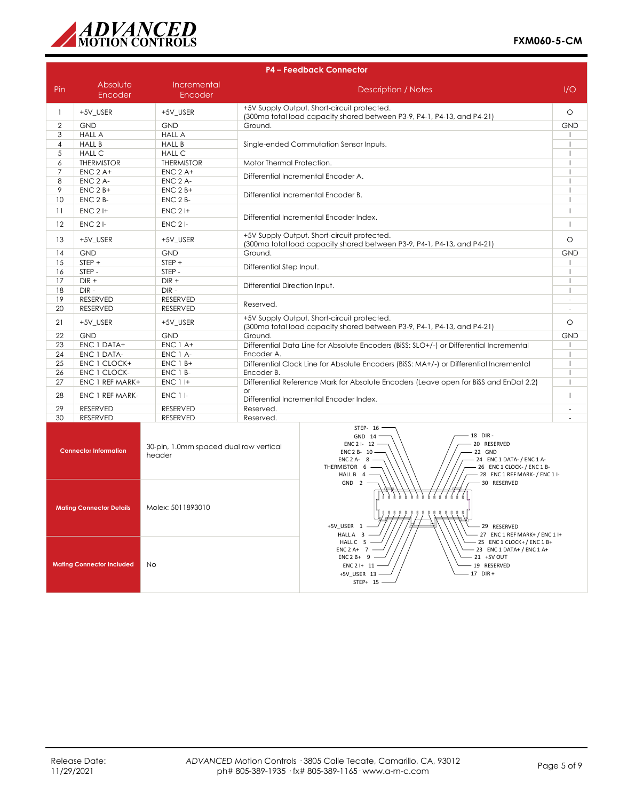

|                | <b>P4 - Feedback Connector</b>   |                                                  |                                                                                                                                                                                                                                          |                                            |  |  |
|----------------|----------------------------------|--------------------------------------------------|------------------------------------------------------------------------------------------------------------------------------------------------------------------------------------------------------------------------------------------|--------------------------------------------|--|--|
| Pin            | Absolute<br>Encoder              | Incremental<br>Encoder                           | <b>Description / Notes</b>                                                                                                                                                                                                               | 1/O                                        |  |  |
| $\mathbf{1}$   | +5V_USER                         | +5V USER                                         | +5V Supply Output. Short-circuit protected.<br>(300ma total load capacity shared between P3-9, P4-1, P4-13, and P4-21)                                                                                                                   |                                            |  |  |
| $\overline{2}$ | <b>GND</b>                       | <b>GND</b>                                       | Ground.                                                                                                                                                                                                                                  | <b>GND</b>                                 |  |  |
| 3              | <b>HALL A</b>                    | <b>HALL A</b>                                    |                                                                                                                                                                                                                                          |                                            |  |  |
| $\overline{4}$ | <b>HALL B</b>                    | <b>HALL B</b>                                    | Single-ended Commutation Sensor Inputs.                                                                                                                                                                                                  |                                            |  |  |
| 5              | <b>HALL C</b>                    | <b>HALL C</b>                                    |                                                                                                                                                                                                                                          | $\overline{1}$                             |  |  |
| 6              | <b>THERMISTOR</b>                | <b>THERMISTOR</b>                                | Motor Thermal Protection.                                                                                                                                                                                                                | $\mathbf{I}$                               |  |  |
| $\overline{7}$ | $ENC$ 2 A+                       | $ENC$ $2$ $A+$                                   | Differential Incremental Encoder A.                                                                                                                                                                                                      | $\overline{\phantom{a}}$                   |  |  |
| 8              | ENC 2 A-                         | ENC 2 A-                                         |                                                                                                                                                                                                                                          | $\overline{1}$                             |  |  |
| 9              | $ENC$ 2 $B+$                     | $ENC$ 2 $B+$                                     | Differential Incremental Encoder B.                                                                                                                                                                                                      | $\mathbf{I}$                               |  |  |
| 10             | ENC 2 B-                         | ENC 2 B-                                         |                                                                                                                                                                                                                                          | $\overline{1}$                             |  |  |
| 11             | $ENC$ 2 I+                       | $ENC$ 2 $H$                                      | Differential Incremental Encoder Index.                                                                                                                                                                                                  | $\overline{1}$                             |  |  |
| 12             | $ENC$ 2 $I-$                     | $ENC$ 2 $I$ -                                    |                                                                                                                                                                                                                                          | $\mathbf{I}$                               |  |  |
| 13             | +5V_USER                         | +5V_USER                                         | +5V Supply Output. Short-circuit protected.<br>(300ma total load capacity shared between P3-9, P4-1, P4-13, and P4-21)                                                                                                                   | $\circ$                                    |  |  |
| 14             | <b>GND</b>                       | <b>GND</b>                                       | Ground.                                                                                                                                                                                                                                  | <b>GND</b>                                 |  |  |
| 15             | $STEP +$                         | STEP +                                           | Differential Step Input.                                                                                                                                                                                                                 | $\overline{1}$                             |  |  |
| 16             | STEP-                            | STEP-                                            |                                                                                                                                                                                                                                          | $\overline{1}$                             |  |  |
| 17             | $DIR +$                          | $DIR +$                                          | Differential Direction Input.                                                                                                                                                                                                            | $\overline{1}$<br>$\overline{\phantom{a}}$ |  |  |
| 18             | $DIR -$                          | DIR-                                             |                                                                                                                                                                                                                                          |                                            |  |  |
| 19             | <b>RESERVED</b>                  | <b>RESERVED</b>                                  | Reserved.                                                                                                                                                                                                                                |                                            |  |  |
| 20             | <b>RESERVED</b>                  | RESERVED                                         |                                                                                                                                                                                                                                          |                                            |  |  |
| 21             | +5V_USER                         | +5V_USER                                         | +5V Supply Output. Short-circuit protected.<br>(300ma total load capacity shared between P3-9, P4-1, P4-13, and P4-21)                                                                                                                   |                                            |  |  |
| 22             | <b>GND</b>                       | <b>GND</b>                                       | Ground.                                                                                                                                                                                                                                  | <b>GND</b>                                 |  |  |
| 23             | ENC 1 DATA+                      | ENC 1 A+                                         | Differential Data Line for Absolute Encoders (BiSS: SLO+/-) or Differential Incremental                                                                                                                                                  | $\mathbf{I}$                               |  |  |
| 24             | ENC 1 DATA-                      | ENC 1 A-                                         | Encoder A.                                                                                                                                                                                                                               | $\overline{1}$                             |  |  |
| 25             | ENC 1 CLOCK+                     | $ENC$ 1 $B+$                                     | Differential Clock Line for Absolute Encoders (BiSS: MA+/-) or Differential Incremental                                                                                                                                                  | $\overline{1}$                             |  |  |
| 26             | ENC 1 CLOCK-                     | ENC 1 B-                                         | Encoder B.                                                                                                                                                                                                                               | $\overline{1}$                             |  |  |
| 27             | ENC 1 REF MARK+                  | <b>ENC 1 I+</b>                                  | Differential Reference Mark for Absolute Encoders (Leave open for BiSS and EnDat 2.2)<br>$\alpha$                                                                                                                                        | $\mathbf{I}$                               |  |  |
| 28             | ENC 1 REF MARK-                  | ENC 1 I-                                         | Differential Incremental Encoder Index.                                                                                                                                                                                                  | $\mathbf{I}$                               |  |  |
| 29             | <b>RESERVED</b>                  | RESERVED                                         | Reserved.                                                                                                                                                                                                                                | ÷                                          |  |  |
| 30             | <b>RESERVED</b>                  | <b>RESERVED</b>                                  | Reserved.                                                                                                                                                                                                                                |                                            |  |  |
|                | <b>Connector Information</b>     | 30-pin, 1.0mm spaced dual row vertical<br>header | STEP- 16<br>18 DIR-<br>GND 14<br>20 RESERVED<br>ENC 2 I- 12<br>22 GND<br>ENC 2 B- 10 -<br>24 ENC 1 DATA- / ENC 1 A-<br>ENC $2A - 8$ -<br>THERMISTOR 6 -<br>- 26 ENC 1 CLOCK- / ENC 1 B-<br>HALL B 4 -<br>- 28 ENC 1 REF MARK- / ENC 1 I- |                                            |  |  |
|                | <b>Mating Connector Details</b>  | Molex: 5011893010                                | $GND$ 2 -<br>- 30 RESERVED<br>+5V_USER 1<br>- 29 RESERVED<br>- 27 ENC 1 REF MARK+ / ENC 1 I+<br>HALL A 3 -                                                                                                                               |                                            |  |  |
|                | <b>Mating Connector Included</b> | No                                               | HALL C 5<br>25 ENC 1 CLOCK + / ENC 1 B+<br>$ENC 2 A+ 7$<br>- 23 ENC 1 DATA+ / ENC 1 A+<br>$ENC2B+9$ -<br>21 +5V OUT<br>19 RESERVED<br>ENC2H11<br>$-17$ DIR +<br>+5V USER 13 -<br>STFP+<br>15                                             |                                            |  |  |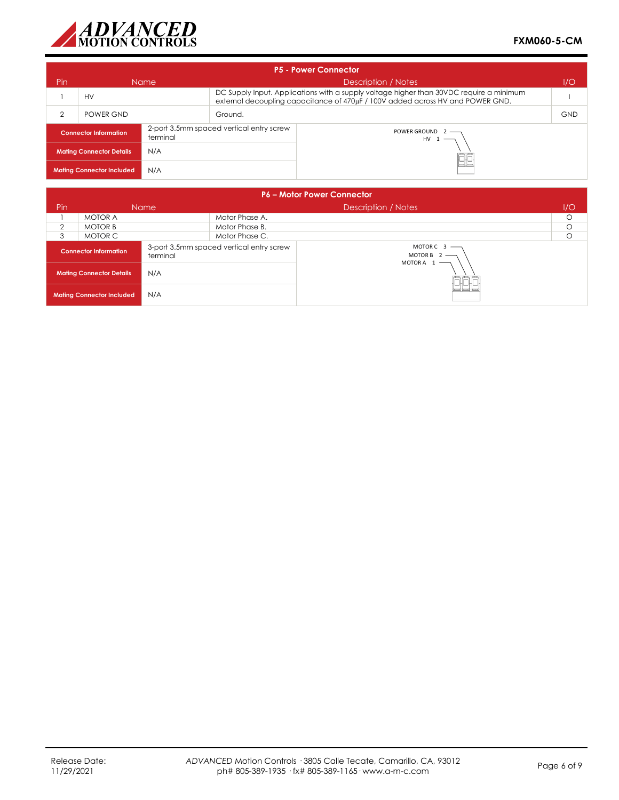

| <b>P5 - Power Connector</b>                                                          |           |             |                                                                                                                                                                           |  |            |  |
|--------------------------------------------------------------------------------------|-----------|-------------|---------------------------------------------------------------------------------------------------------------------------------------------------------------------------|--|------------|--|
| Pin                                                                                  |           | <b>Name</b> | Description / Notes<br>1/O                                                                                                                                                |  |            |  |
|                                                                                      | <b>HV</b> |             | DC Supply Input. Applications with a supply voltage higher than 30VDC require a minimum<br>external decoupling capacitance of 470µF / 100V added across HV and POWER GND. |  |            |  |
| $\overline{2}$                                                                       | POWER GND |             | Ground.                                                                                                                                                                   |  | <b>GND</b> |  |
| 2-port 3.5mm spaced vertical entry screw<br><b>Connector Information</b><br>terminal |           |             | POWER GROUND 2 -<br>$HV 1$ —                                                                                                                                              |  |            |  |
| N/A<br><b>Mating Connector Details</b>                                               |           |             |                                                                                                                                                                           |  |            |  |
| N/A<br><b>Mating Connector Included</b>                                              |           |             | $=$ $=$                                                                                                                                                                   |  |            |  |

| <b>P6 - Motor Power Connector</b>        |                |                                          |                                                |                     |         |  |
|------------------------------------------|----------------|------------------------------------------|------------------------------------------------|---------------------|---------|--|
| <b>Pin</b>                               |                | <b>Name</b>                              |                                                | Description / Notes | I/O     |  |
|                                          | <b>MOTOR A</b> |                                          | Motor Phase A.                                 |                     | $\circ$ |  |
| $\mathfrak{D}$                           | <b>MOTOR B</b> |                                          | Motor Phase B.                                 |                     | O       |  |
| 3                                        | MOTOR C        |                                          | Motor Phase C.                                 |                     | О       |  |
| <b>Connector Information</b><br>terminal |                | 3-port 3.5mm spaced vertical entry screw | MOTORC $3$ —<br>MOTOR B $2$ –<br>MOTORA $1$ –– |                     |         |  |
| N/A<br><b>Mating Connector Details</b>   |                |                                          |                                                |                     |         |  |
| N/A<br><b>Mating Connector Included</b>  |                |                                          | 그그다                                            |                     |         |  |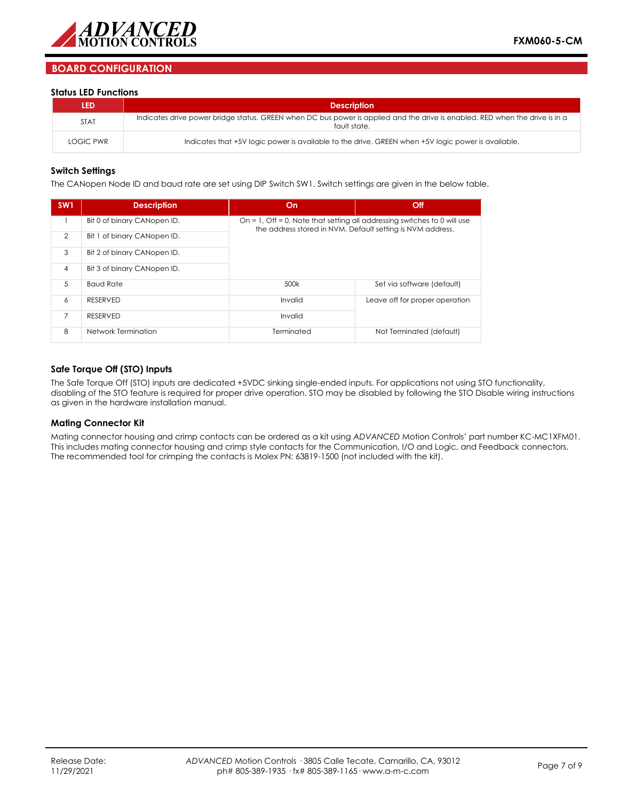

## **BOARD CONFIGURATION**

#### **Status LED Functions**

| <b>LED</b>  | <b>Description</b>                                                                                                                           |
|-------------|----------------------------------------------------------------------------------------------------------------------------------------------|
| <b>STAT</b> | Indicates drive power bridge status. GREEN when DC bus power is applied and the drive is enabled. RED when the drive is in a<br>fault state. |
| LOGIC PWR   | Indicates that +5V logic power is available to the drive. GREEN when +5V logic power is available.                                           |

#### **Switch Settings**

The CANopen Node ID and baud rate are set using DIP Switch SW1. Switch settings are given in the below table.

| SW <sub>1</sub> | <b>Description</b>          | On                                                                                                                                     | Off                            |  |  |  |
|-----------------|-----------------------------|----------------------------------------------------------------------------------------------------------------------------------------|--------------------------------|--|--|--|
|                 | Bit 0 of binary CANopen ID. | On = 1, Off = 0. Note that setting all addressing switches to 0 will use<br>the address stored in NVM. Default setting is NVM address. |                                |  |  |  |
| $\overline{2}$  | Bit 1 of binary CANopen ID. |                                                                                                                                        |                                |  |  |  |
| 3               | Bit 2 of binary CANopen ID. |                                                                                                                                        |                                |  |  |  |
| $\overline{4}$  | Bit 3 of binary CANopen ID. |                                                                                                                                        |                                |  |  |  |
| 5               | <b>Baud Rate</b>            | 500k                                                                                                                                   | Set via software (default)     |  |  |  |
| 6               | <b>RESERVED</b>             | Invalid                                                                                                                                | Leave off for proper operation |  |  |  |
| 7               | <b>RESERVED</b>             | Invalid                                                                                                                                |                                |  |  |  |
| 8               | Network Termination         | Terminated                                                                                                                             | Not Terminated (default)       |  |  |  |

### **Safe Torque Off (STO) Inputs**

The Safe Torque Off (STO) inputs are dedicated +5VDC sinking single-ended inputs. For applications not using STO functionality, disabling of the STO feature is required for proper drive operation. STO may be disabled by following the STO Disable wiring instructions as given in the hardware installation manual.

#### **Mating Connector Kit**

Mating connector housing and crimp contacts can be ordered as a kit using *ADVANCED* Motion Controls' part number KC-MC1XFM01. This includes mating connector housing and crimp style contacts for the Communication, I/O and Logic, and Feedback connectors. The recommended tool for crimping the contacts is Molex PN: 63819-1500 (not included with the kit).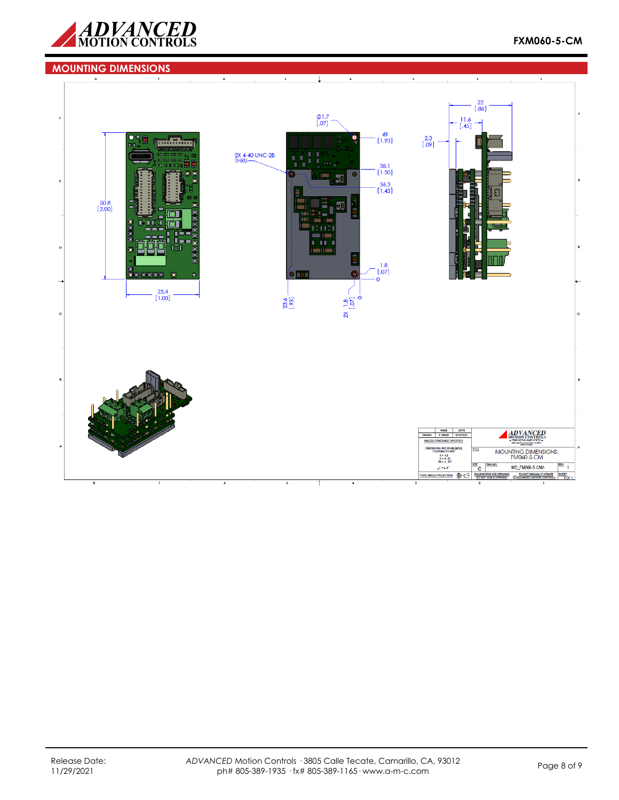

#### **MOUNTING DIMENSIONS** $\overline{\downarrow}$  $\overline{2}$  $\begin{bmatrix} 22 \\ 0.86 \end{bmatrix}$  $\phi$ 1.7<br>[.07]  $\begin{bmatrix} 11.6 \\ .45 \end{bmatrix}$  $\rightarrow$  $\begin{array}{c} 49 \\ [1.93] \end{array}$  $\begin{bmatrix} 2.3 \\ .09 \end{bmatrix}$ Ä 島 2X 4-40 UNC-2B  $\frac{38.1}{[1.50]}$  $\frac{36.3}{[1.43]}$  $\frac{50.8}{[2.00]}$ Ó ō ш  $\begin{bmatrix} 1.8 \\ 0.07 \end{bmatrix}$  $0000$ 4  $\overline{\mathbf{0}}$  $\begin{bmatrix} 25.4 \\ 1.00 \end{bmatrix}$  $2x$  1.8<br>[.07] 23.6 NAME DATE<br>DRAWN P. MEAD 07/02/2020 ADVANCED UNLE **ENSIONS ARE IN MM [INCH]<br>TOLERANCES ARE:** MOUNTING DIMENSIONS;<br>FM060-5-CM LERANCES AR<br>  $X = \pm 5$ <br>  $X = \pm 25$ <br>  $X0 = \pm .127$  $rac{1}{\sqrt{2}}$ MD\_FM060-5-CMA  $rac{rev}{1}$  $\angle$  = a.5° THIRD ANGLE PROJECTION @E SOLIDWORKS CAD DRAWING DO NOT MANUALLY UPDATE SHEET DO NOT SCALE DRAWING © ADVANCED MOTION CONTROLS 1 OF 1